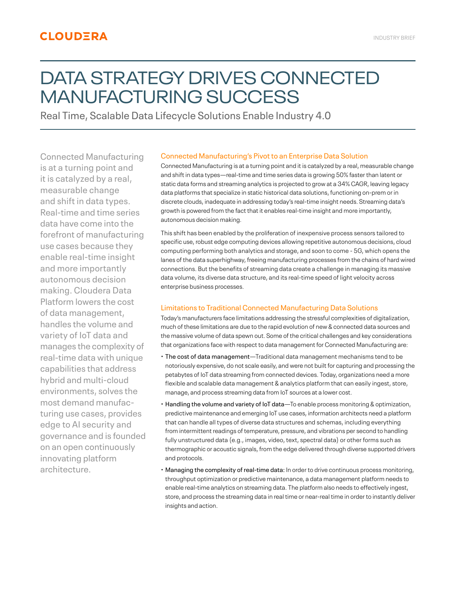# DATA STRATEGY DRIVES CONNECTED MANUFACTURING SUCCESS

Real Time, Scalable Data Lifecycle Solutions Enable Industry 4.0

Connected Manufacturing is at a turning point and it is catalyzed by a real, measurable change and shift in data types. Real-time and time series data have come into the forefront of manufacturing use cases because they enable real-time insight and more importantly autonomous decision making. Cloudera Data Platform lowers the cost of data management, handles the volume and variety of IoT data and manages the complexity of real-time data with unique capabilities that address hybrid and multi-cloud environments, solves the most demand manufacturing use cases, provides edge to AI security and governance and is founded on an open continuously innovating platform architecture.

# Connected Manufacturing's Pivot to an Enterprise Data Solution

Connected Manufacturing is at a turning point and it is catalyzed by a real, measurable change and shift in data types—real-time and time series data is growing 50% faster than latent or static data forms and streaming analytics is projected to grow at a 34% CAGR, leaving legacy data platforms that specialize in static historical data solutions, functioning on-prem or in discrete clouds, inadequate in addressing today's real-time insight needs. Streaming data's growth is powered from the fact that it enables real-time insight and more importantly, autonomous decision making.

This shift has been enabled by the proliferation of inexpensive process sensors tailored to specific use, robust edge computing devices allowing repetitive autonomous decisions, cloud computing performing both analytics and storage, and soon to come - 5G, which opens the lanes of the data superhighway, freeing manufacturing processes from the chains of hard wired connections. But the benefits of streaming data create a challenge in managing its massive data volume, its diverse data structure, and its real-time speed of light velocity across enterprise business processes.

# Limitations to Traditional Connected Manufacturing Data Solutions

Today's manufacturers face limitations addressing the stressful complexities of digitalization, much of these limitations are due to the rapid evolution of new & connected data sources and the massive volume of data spewn out. Some of the critical challenges and key considerations that organizations face with respect to data management for Connected Manufacturing are:

- The cost of data management—Traditional data management mechanisms tend to be notoriously expensive, do not scale easily, and were not built for capturing and processing the petabytes of IoT data streaming from connected devices. Today, organizations need a more flexible and scalable data management & analytics platform that can easily ingest, store, manage, and process streaming data from IoT sources at a lower cost.
- Handling the volume and variety of IoT data—To enable process monitoring & optimization, predictive maintenance and emerging IoT use cases, information architects need a platform that can handle all types of diverse data structures and schemas, including everything from intermittent readings of temperature, pressure, and vibrations per second to handling fully unstructured data (e.g., images, video, text, spectral data) or other forms such as thermographic or acoustic signals, from the edge delivered through diverse supported drivers and protocols.
- Managing the complexity of real-time data: In order to drive continuous process monitoring, throughput optimization or predictive maintenance, a data management platform needs to enable real-time analytics on streaming data. The platform also needs to effectively ingest, store, and process the streaming data in real time or near-real time in order to instantly deliver insights and action.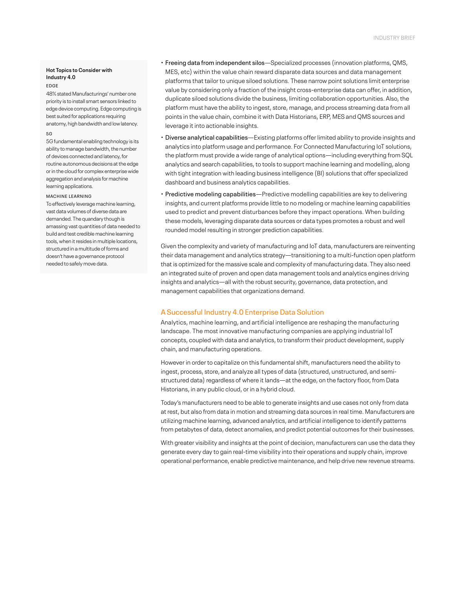## **Hot Topics to Consider with Industry 4.0**

#### EDGE

48% stated Manufacturings' number one priority is to install smart sensors linked to edge device computing. Edge computing is best suited for applications requiring anatomy, high bandwidth and low latency. 5G

5G fundamental enabling technology is its ability to manage bandwidth, the number of devices connected and latency, for routine autonomous decisions at the edge or in the cloud for complex enterprise wide aggregation and analysis for machine learning applications.

#### MACHINE LEARNING

To effectively leverage machine learning, vast data volumes of diverse data are demanded. The quandary though is amassing vast quantities of data needed to build and test credible machine learning tools, when it resides in multiple locations, structured in a multitude of forms and doesn't have a governance protocol needed to safely move data.

- Freeing data from independent silos—Specialized processes (innovation platforms, QMS, MES, etc) within the value chain reward disparate data sources and data management platforms that tailor to unique siloed solutions. These narrow point solutions limit enterprise value by considering only a fraction of the insight cross-enterprise data can offer, in addition, duplicate siloed solutions divide the business, limiting collaboration opportunities. Also, the platform must have the ability to ingest, store, manage, and process streaming data from all points in the value chain, combine it with Data Historians, ERP, MES and QMS sources and leverage it into actionable insights.
- Diverse analytical capabilities—Existing platforms offer limited ability to provide insights and analytics into platform usage and performance. For Connected Manufacturing IoT solutions, the platform must provide a wide range of analytical options—including everything from SQL analytics and search capabilities, to tools to support machine learning and modelling, along with tight integration with leading business intelligence (BI) solutions that offer specialized dashboard and business analytics capabilities.
- Predictive modeling capabilities—Predictive modelling capabilities are key to delivering insights, and current platforms provide little to no modeling or machine learning capabilities used to predict and prevent disturbances before they impact operations. When building these models, leveraging disparate data sources or data types promotes a robust and well rounded model resulting in stronger prediction capabilities.

Given the complexity and variety of manufacturing and IoT data, manufacturers are reinventing their data management and analytics strategy—transitioning to a multi-function open platform that is optimized for the massive scale and complexity of manufacturing data. They also need an integrated suite of proven and open data management tools and analytics engines driving insights and analytics—all with the robust security, governance, data protection, and management capabilities that organizations demand.

# A Successful Industry 4.0 Enterprise Data Solution

Analytics, machine learning, and artificial intelligence are reshaping the manufacturing landscape. The most innovative manufacturing companies are applying industrial IoT concepts, coupled with data and analytics, to transform their product development, supply chain, and manufacturing operations.

However in order to capitalize on this fundamental shift, manufacturers need the ability to ingest, process, store, and analyze all types of data (structured, unstructured, and semistructured data) regardless of where it lands—at the edge, on the factory floor, from Data Historians, in any public cloud, or in a hybrid cloud.

Today's manufacturers need to be able to generate insights and use cases not only from data at rest, but also from data in motion and streaming data sources in real time. Manufacturers are utilizing machine learning, advanced analytics, and artificial intelligence to identify patterns from petabytes of data, detect anomalies, and predict potential outcomes for their businesses.

With greater visibility and insights at the point of decision, manufacturers can use the data they generate every day to gain real-time visibility into their operations and supply chain, improve operational performance, enable predictive maintenance, and help drive new revenue streams.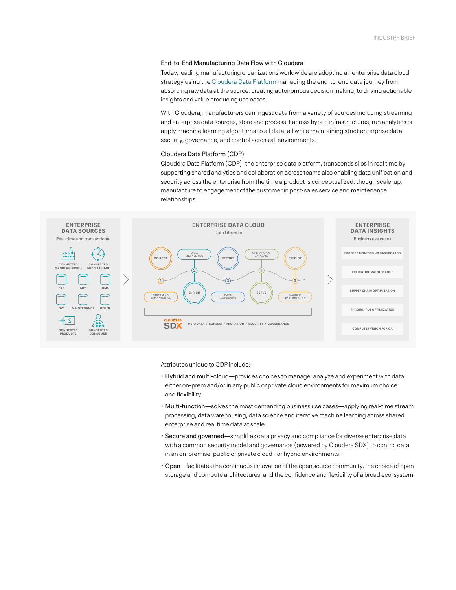## End-to-End Manufacturing Data Flow with Cloudera

Today, leading manufacturing organizations worldwide are adopting an enterprise data cloud strategy using the [Cloudera Data Platform](https://www.cloudera.com/products/cloudera-data-platform.html) managing the end-to-end data journey from absorbing raw data at the source, creating autonomous decision making, to driving actionable insights and value producing use cases.

With Cloudera, manufacturers can ingest data from a variety of sources including streaming and enterprise data sources, store and process it across hybrid infrastructures, run analytics or apply machine learning algorithms to all data, all while maintaining strict enterprise data security, governance, and control across all environments.

#### Cloudera Data Platform (CDP)

Cloudera Data Platform (CDP), the enterprise data platform, transcends silos in real time by supporting shared analytics and collaboration across teams also enabling data unification and security across the enterprise from the time a product is conceptualized, though scale-up, manufacture to engagement of the customer in post-sales service and maintenance relationships.



Attributes unique to CDP include:

- Hybrid and multi-cloud—provides choices to manage, analyze and experiment with data either on-prem and/or in any public or private cloud environments for maximum choice and flexibility.
- Multi-function—solves the most demanding business use cases—applying real-time stream processing, data warehousing, data science and iterative machine learning across shared enterprise and real time data at scale.
- Secure and governed—simplifies data privacy and compliance for diverse enterprise data with a common security model and governance (powered by Cloudera SDX) to control data in an on-premise, public or private cloud - or hybrid environments.
- Open—facilitates the continuous innovation of the open source community, the choice of open storage and compute architectures, and the confidence and flexibility of a broad eco-system.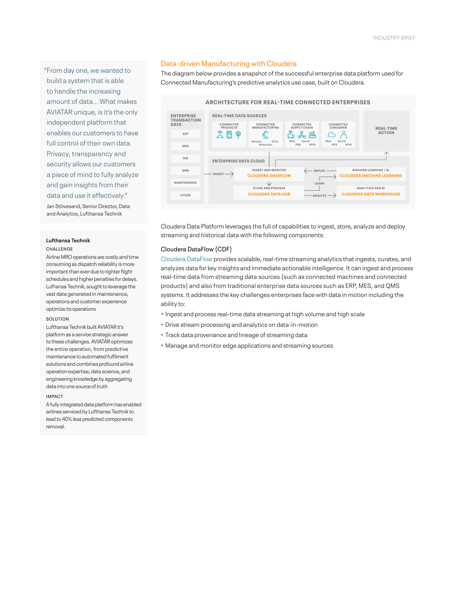"From day one, we wanted to build a system that is able to handle the increasing amount of data... What makes AVIATAR unique, is it's the only independent platform that enables our customers to have full control of their own data. Privacy, transparency and security allows our customers a piece of mind to fully analyze and gain insights from their data and use it effectively."

Jan Stövesand, Senior Director, Data and Analytics, Lufthansa Technik

#### **Lufthansa Technik** CHALLENGE

Airline MRO operations are costly and time consuming as dispatch reliability is more important than ever due to tighter flight schedules and higher penalties for delays. Lufhansa Technik, sought to leverage the vast data generated in maintenance, operations and customer experience optimize its operations

#### SOLUTION

Lufthansa Technik built AVIATAR it's platform as a service strategic answer to these challenges. AVIATAR optimizes the entire operation, from predictive maintenance to automated fulfilment solutions and combines profound airline operation expertise, data science, and engineering knowledge by aggregating data into one source of truth

#### IMPACT

A fully integrated data platform has enabled airlines serviced by Lufthansa Technik to lead to 40% less predicted components removal.

# Data-driven Manufacturing with Cloudera

The diagram below provides a snapshot of the successful enterprise data platform used for Connected Manufacturing's predictive analytics use case, built on Cloudera.



Cloudera Data Platform leverages the full of capabilities to ingest, store, analyze and deploy streaming and historical data with the following components:

## Cloudera DataFlow (CDF)

[Cloudera DataFlow](https://www.cloudera.com/products/cdf.html) provides scalable, real-time streaming analytics that ingests, curates, and analyzes data for key insights and immediate actionable intelligence. It can ingest and process real-time data from streaming data sources (such as connected machines and connected products) and also from traditional enterprise data sources such as ERP, MES, and QMS systems. It addresses the key challenges enterprises face with data in motion including the ability to:

- Ingest and process real-time data streaming at high volume and high scale
- Drive stream processing and analytics on data-in-motion
- Track data provenance and lineage of streaming data
- Manage and monitor edge applications and streaming sources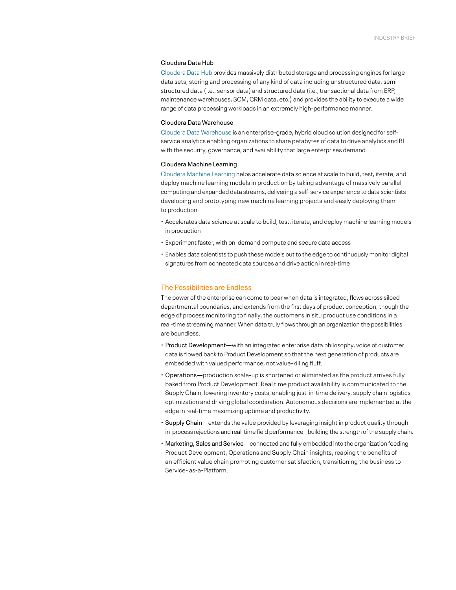#### Cloudera Data Hub

[Cloudera Data Hub](https://www.cloudera.com/products/data-hub.html) provides massively distributed storage and processing engines for large data sets, storing and processing of any kind of data including unstructured data, semistructured data (i.e., sensor data) and structured data (i.e., transactional data from ERP, maintenance warehouses, SCM, CRM data, etc.) and provides the ability to execute a wide range of data processing workloads in an extremely high-performance manner.

## Cloudera Data Warehouse

[Cloudera Data Warehouse](https://www.cloudera.com/products/data-warehouse.html) is an enterprise-grade, hybrid cloud solution designed for selfservice analytics enabling organizations to share petabytes of data to drive analytics and BI with the security, governance, and availability that large enterprises demand.

## Cloudera Machine Learning

[Cloudera Machine Learning](https://www.cloudera.com/products/machine-learning.html) helps accelerate data science at scale to build, test, iterate, and deploy machine learning models in production by taking advantage of massively parallel computing and expanded data streams, delivering a self-service experience to data scientists developing and prototyping new machine learning projects and easily deploying them to production.

- Accelerates data science at scale to build, test, iterate, and deploy machine learning models in production
- Experiment faster, with on-demand compute and secure data access
- Enables data scientists to push these models out to the edge to continuously monitor digital signatures from connected data sources and drive action in real-time

# The Possibilities are Endless

The power of the enterprise can come to bear when data is integrated, flows across siloed departmental boundaries, and extends from the first days of product conception, though the edge of process monitoring to finally, the customer's in situ product use conditions in a real-time streaming manner. When data truly flows through an organization the possibilities are boundless:

- Product Development—with an integrated enterprise data philosophy, voice of customer data is flowed back to Product Development so that the next generation of products are embedded with valued performance, not value-killing fluff.
- Operations—production scale-up is shortened or eliminated as the product arrives fully baked from Product Development. Real time product availability is communicated to the Supply Chain, lowering inventory costs, enabling just-in-time delivery, supply chain logistics optimization and driving global coordination. Autonomous decisions are implemented at the edge in real-time maximizing uptime and productivity.
- Supply Chain—extends the value provided by leveraging insight in product quality through in-process rejections and real-time field performance - building the strength of the supply chain.
- Marketing, Sales and Service—connected and fully embedded into the organization feeding Product Development, Operations and Supply Chain insights, reaping the benefits of an efficient value chain promoting customer satisfaction, transitioning the business to Service- as-a-Platform.